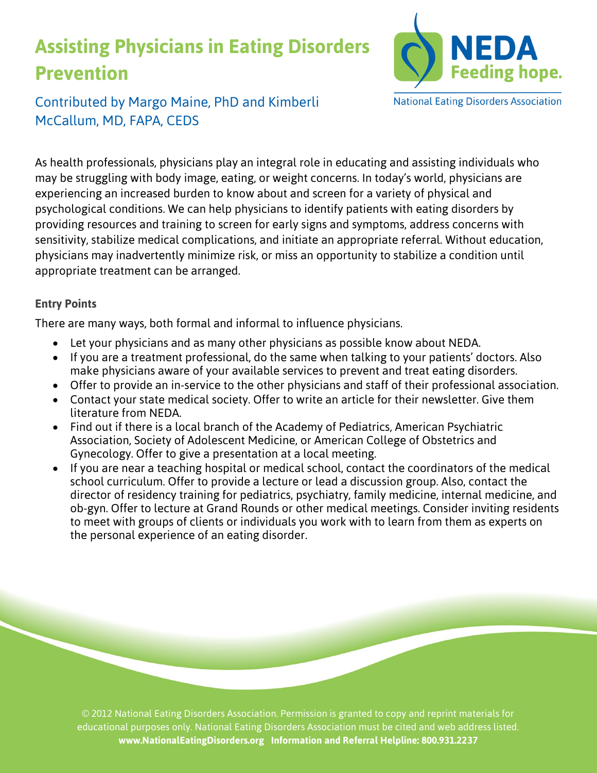## **Assisting Physicians in Eating Disorders Prevention**



Contributed by Margo Maine, PhD and Kimberli McCallum, MD, FAPA, CEDS

As health professionals, physicians play an integral role in educating and assisting individuals who may be struggling with body image, eating, or weight concerns. In today's world, physicians are experiencing an increased burden to know about and screen for a variety of physical and psychological conditions. We can help physicians to identify patients with eating disorders by providing resources and training to screen for early signs and symptoms, address concerns with sensitivity, stabilize medical complications, and initiate an appropriate referral. Without education, physicians may inadvertently minimize risk, or miss an opportunity to stabilize a condition until appropriate treatment can be arranged.

## **Entry Points**

There are many ways, both formal and informal to influence physicians.

- Let your physicians and as many other physicians as possible know about NEDA.
- If you are a treatment professional, do the same when talking to your patients' doctors. Also make physicians aware of your available services to prevent and treat eating disorders.
- Offer to provide an in-service to the other physicians and staff of their professional association.
- Contact your state medical society. Offer to write an article for their newsletter. Give them literature from NEDA.
- Find out if there is a local branch of the Academy of Pediatrics, American Psychiatric Association, Society of Adolescent Medicine, or American College of Obstetrics and Gynecology. Offer to give a presentation at a local meeting.
- If you are near a teaching hospital or medical school, contact the coordinators of the medical school curriculum. Offer to provide a lecture or lead a discussion group. Also, contact the director of residency training for pediatrics, psychiatry, family medicine, internal medicine, and ob-gyn. Offer to lecture at Grand Rounds or other medical meetings. Consider inviting residents to meet with groups of clients or individuals you work with to learn from them as experts on the personal experience of an eating disorder.

© 2012 National Eating Disorders Association. Permission is granted to copy and reprint materials for educational purposes only. National Eating Disorders Association must be cited and web address listed. **www.NationalEatingDisorders.org Information and Referral Helpline: 800.931.2237**